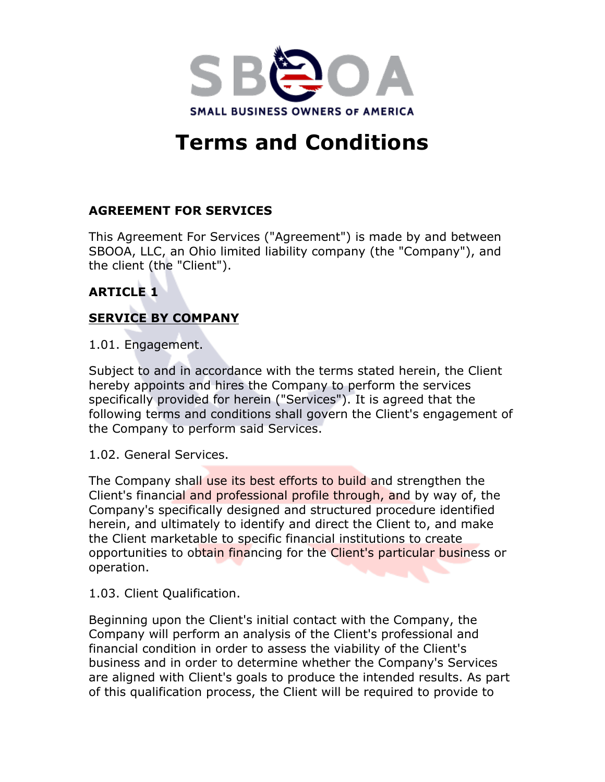

# **Terms and Conditions**

## **AGREEMENT FOR SERVICES**

This Agreement For Services ("Agreement") is made by and between SBOOA, LLC, an Ohio limited liability company (the "Company"), and the client (the "Client").

# **ARTICLE 1**

# **SERVICE BY COMPANY**

1.01. Engagement.

Subject to and in accordance with the terms stated herein, the Client hereby appoints and hires the Company to perform the services specifically provided for herein ("Services"). It is agreed that the following terms and conditions shall govern the Client's engagement of the Company to perform said Services.

1.02. General Services.

The Company shall use its best efforts to build and strengthen the Client's financial and professional profile through, and by way of, the Company's specifically designed and structured procedure identified herein, and ultimately to identify and direct the Client to, and make the Client marketable to specific financial institutions to create opportunities to obtain financing for the Client's particular business or operation.

1.03. Client Qualification.

Beginning upon the Client's initial contact with the Company, the Company will perform an analysis of the Client's professional and financial condition in order to assess the viability of the Client's business and in order to determine whether the Company's Services are aligned with Client's goals to produce the intended results. As part of this qualification process, the Client will be required to provide to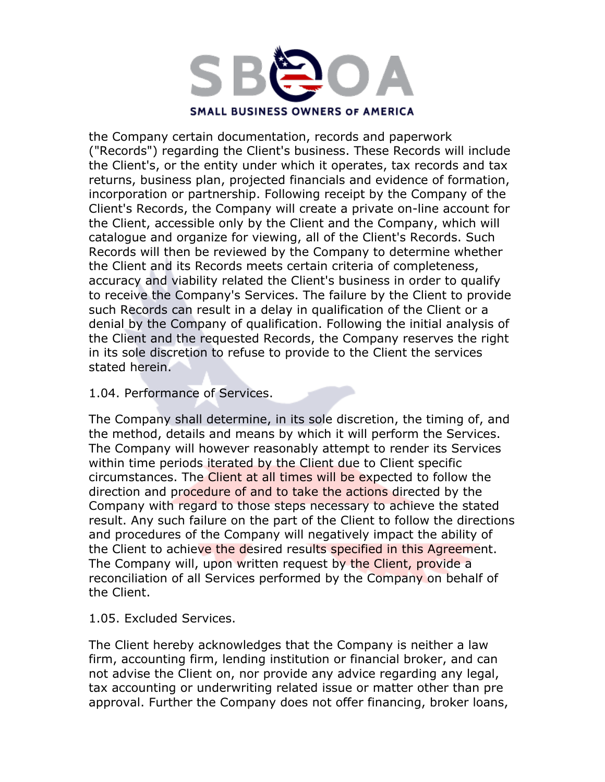

the Company certain documentation, records and paperwork ("Records") regarding the Client's business. These Records will include the Client's, or the entity under which it operates, tax records and tax returns, business plan, projected financials and evidence of formation, incorporation or partnership. Following receipt by the Company of the Client's Records, the Company will create a private on-line account for the Client, accessible only by the Client and the Company, which will catalogue and organize for viewing, all of the Client's Records. Such Records will then be reviewed by the Company to determine whether the Client and its Records meets certain criteria of completeness, accuracy and viability related the Client's business in order to qualify to receive the Company's Services. The failure by the Client to provide such Records can result in a delay in qualification of the Client or a denial by the Company of qualification. Following the initial analysis of the Client and the requested Records, the Company reserves the right in its sole discretion to refuse to provide to the Client the services stated herein.

#### 1.04. Performance of Services.

The Company shall determine, in its sole discretion, the timing of, and the method, details and means by which it will perform the Services. The Company will however reasonably attempt to render its Services within time periods iterated by the Client due to Client specific circumstances. The Client at all times will be expected to follow the direction and procedure of and to take the actions directed by the Company with regard to those steps necessary to achieve the stated result. Any such failure on the part of the Client to follow the directions and procedures of the Company will negatively impact the ability of the Client to achieve the desired results specified in this Agreement. The Company will, upon written request by the Client, provide a reconciliation of all Services performed by the Company on behalf of the Client.

1.05. Excluded Services.

The Client hereby acknowledges that the Company is neither a law firm, accounting firm, lending institution or financial broker, and can not advise the Client on, nor provide any advice regarding any legal, tax accounting or underwriting related issue or matter other than pre approval. Further the Company does not offer financing, broker loans,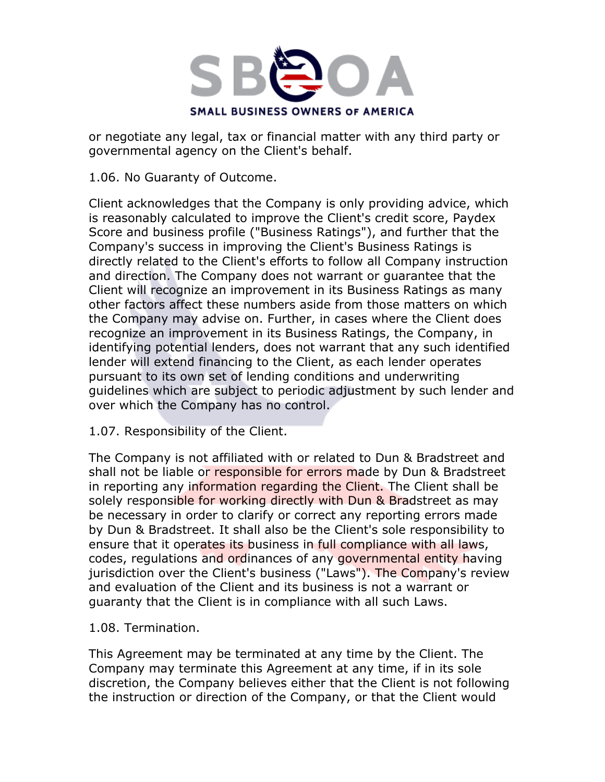

or negotiate any legal, tax or financial matter with any third party or governmental agency on the Client's behalf.

1.06. No Guaranty of Outcome.

Client acknowledges that the Company is only providing advice, which is reasonably calculated to improve the Client's credit score, Paydex Score and business profile ("Business Ratings"), and further that the Company's success in improving the Client's Business Ratings is directly related to the Client's efforts to follow all Company instruction and direction. The Company does not warrant or guarantee that the Client will recognize an improvement in its Business Ratings as many other factors affect these numbers aside from those matters on which the Company may advise on. Further, in cases where the Client does recognize an improvement in its Business Ratings, the Company, in identifying potential lenders, does not warrant that any such identified lender will extend financing to the Client, as each lender operates pursuant to its own set of lending conditions and underwriting guidelines which are subject to periodic adjustment by such lender and over which the Company has no control.

1.07. Responsibility of the Client.

The Company is not affiliated with or related to Dun & Bradstreet and shall not be liable or responsible for errors made by Dun & Bradstreet in reporting any information regarding the Client. The Client shall be solely responsible for working directly with Dun & Bradstreet as may be necessary in order to clarify or correct any reporting errors made by Dun & Bradstreet. It shall also be the Client's sole responsibility to ensure that it operates its business in full compliance with all laws, codes, regulations and ordinances of any governmental entity having jurisdiction over the Client's business ("Laws"). The Company's review and evaluation of the Client and its business is not a warrant or guaranty that the Client is in compliance with all such Laws.

1.08. Termination.

This Agreement may be terminated at any time by the Client. The Company may terminate this Agreement at any time, if in its sole discretion, the Company believes either that the Client is not following the instruction or direction of the Company, or that the Client would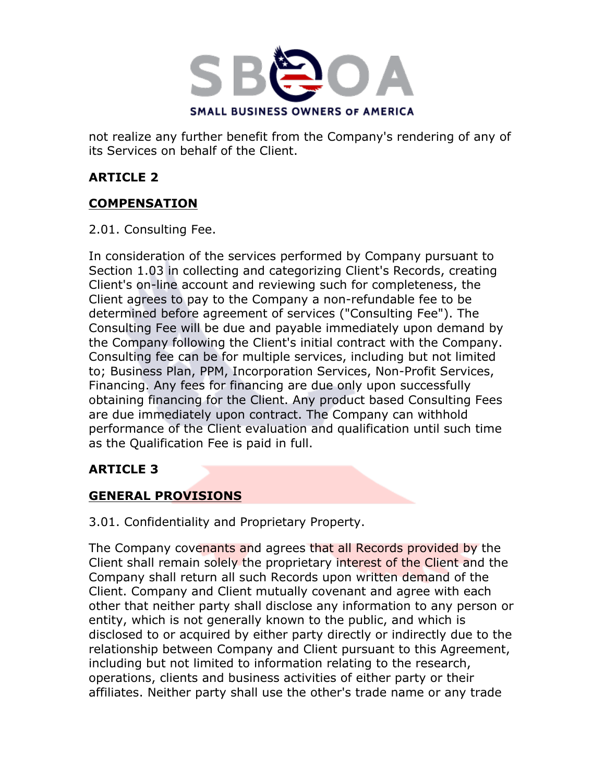

not realize any further benefit from the Company's rendering of any of its Services on behalf of the Client.

## **ARTICLE 2**

## **COMPENSATION**

2.01. Consulting Fee.

In consideration of the services performed by Company pursuant to Section 1.03 in collecting and categorizing Client's Records, creating Client's on-line account and reviewing such for completeness, the Client agrees to pay to the Company a non-refundable fee to be determined before agreement of services ("Consulting Fee"). The Consulting Fee will be due and payable immediately upon demand by the Company following the Client's initial contract with the Company. Consulting fee can be for multiple services, including but not limited to; Business Plan, PPM, Incorporation Services, Non-Profit Services, Financing. Any fees for financing are due only upon successfully obtaining financing for the Client. Any product based Consulting Fees are due immediately upon contract. The Company can withhold performance of the Client evaluation and qualification until such time as the Qualification Fee is paid in full.

## **ARTICLE 3**

## **GENERAL PROVISIONS**

3.01. Confidentiality and Proprietary Property.

The Company covenants and agrees that all Records provided by the Client shall remain solely the proprietary interest of the Client and the Company shall return all such Records upon written demand of the Client. Company and Client mutually covenant and agree with each other that neither party shall disclose any information to any person or entity, which is not generally known to the public, and which is disclosed to or acquired by either party directly or indirectly due to the relationship between Company and Client pursuant to this Agreement, including but not limited to information relating to the research, operations, clients and business activities of either party or their affiliates. Neither party shall use the other's trade name or any trade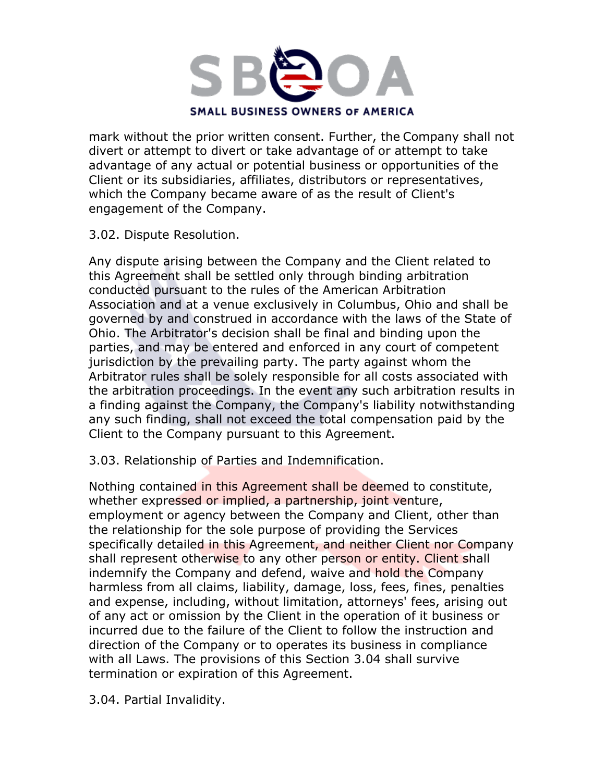

mark without the prior written consent. Further, the Company shall not divert or attempt to divert or take advantage of or attempt to take advantage of any actual or potential business or opportunities of the Client or its subsidiaries, affiliates, distributors or representatives, which the Company became aware of as the result of Client's engagement of the Company.

#### 3.02. Dispute Resolution.

Any dispute arising between the Company and the Client related to this Agreement shall be settled only through binding arbitration conducted pursuant to the rules of the American Arbitration Association and at a venue exclusively in Columbus, Ohio and shall be governed by and construed in accordance with the laws of the State of Ohio. The Arbitrator's decision shall be final and binding upon the parties, and may be entered and enforced in any court of competent jurisdiction by the prevailing party. The party against whom the Arbitrator rules shall be solely responsible for all costs associated with the arbitration proceedings. In the event any such arbitration results in a finding against the Company, the Company's liability notwithstanding any such finding, shall not exceed the total compensation paid by the Client to the Company pursuant to this Agreement.

#### 3.03. Relationship of Parties and Indemnification.

Nothing contained in this Agreement shall be deemed to constitute, whether expressed or implied, a partnership, joint venture, employment or agency between the Company and Client, other than the relationship for the sole purpose of providing the Services specifically detailed in this Agreement, and neither Client nor Company shall represent otherwise to any other person or entity. Client shall indemnify the Company and defend, waive and hold the Company harmless from all claims, liability, damage, loss, fees, fines, penalties and expense, including, without limitation, attorneys' fees, arising out of any act or omission by the Client in the operation of it business or incurred due to the failure of the Client to follow the instruction and direction of the Company or to operates its business in compliance with all Laws. The provisions of this Section 3.04 shall survive termination or expiration of this Agreement.

3.04. Partial Invalidity.